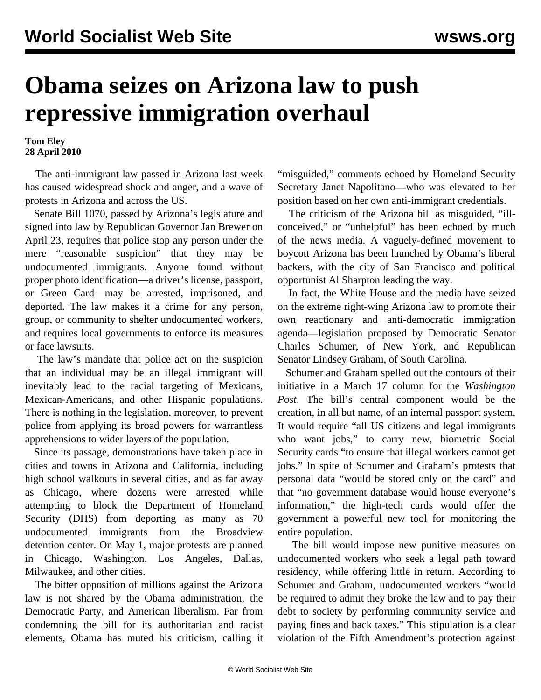## **Obama seizes on Arizona law to push repressive immigration overhaul**

**Tom Eley 28 April 2010**

 The anti-immigrant law passed in Arizona last week has caused widespread shock and anger, and a wave of protests in Arizona and across the US.

 Senate Bill 1070, passed by Arizona's legislature and signed into law by Republican Governor Jan Brewer on April 23, requires that police stop any person under the mere "reasonable suspicion" that they may be undocumented immigrants. Anyone found without proper photo identification—a driver's license, passport, or Green Card—may be arrested, imprisoned, and deported. The law makes it a crime for any person, group, or community to shelter undocumented workers, and requires local governments to enforce its measures or face lawsuits.

 The law's mandate that police act on the suspicion that an individual may be an illegal immigrant will inevitably lead to the racial targeting of Mexicans, Mexican-Americans, and other Hispanic populations. There is nothing in the legislation, moreover, to prevent police from applying its broad powers for warrantless apprehensions to wider layers of the population.

 Since its passage, demonstrations have taken place in cities and towns in Arizona and California, including high school walkouts in several cities, and as far away as Chicago, where dozens were arrested while attempting to block the Department of Homeland Security (DHS) from deporting as many as 70 undocumented immigrants from the Broadview detention center. On May 1, major protests are planned in Chicago, Washington, Los Angeles, Dallas, Milwaukee, and other cities.

 The bitter opposition of millions against the Arizona law is not shared by the Obama administration, the Democratic Party, and American liberalism. Far from condemning the bill for its authoritarian and racist elements, Obama has muted his criticism, calling it

"misguided," comments echoed by Homeland Security Secretary Janet Napolitano—who was elevated to her position based on her own anti-immigrant credentials.

 The criticism of the Arizona bill as misguided, "illconceived," or "unhelpful" has been echoed by much of the news media. A vaguely-defined movement to boycott Arizona has been launched by Obama's liberal backers, with the city of San Francisco and political opportunist Al Sharpton leading the way.

 In fact, the White House and the media have seized on the extreme right-wing Arizona law to promote their own reactionary and anti-democratic immigration agenda—legislation proposed by Democratic Senator Charles Schumer, of New York, and Republican Senator Lindsey Graham, of South Carolina.

 Schumer and Graham spelled out the contours of their initiative in a March 17 column for the *Washington Post*. The bill's central component would be the creation, in all but name, of an internal passport system. It would require "all US citizens and legal immigrants who want jobs," to carry new, biometric Social Security cards "to ensure that illegal workers cannot get jobs." In spite of Schumer and Graham's protests that personal data "would be stored only on the card" and that "no government database would house everyone's information," the high-tech cards would offer the government a powerful new tool for monitoring the entire population.

 The bill would impose new punitive measures on undocumented workers who seek a legal path toward residency, while offering little in return. According to Schumer and Graham, undocumented workers "would be required to admit they broke the law and to pay their debt to society by performing community service and paying fines and back taxes." This stipulation is a clear violation of the Fifth Amendment's protection against